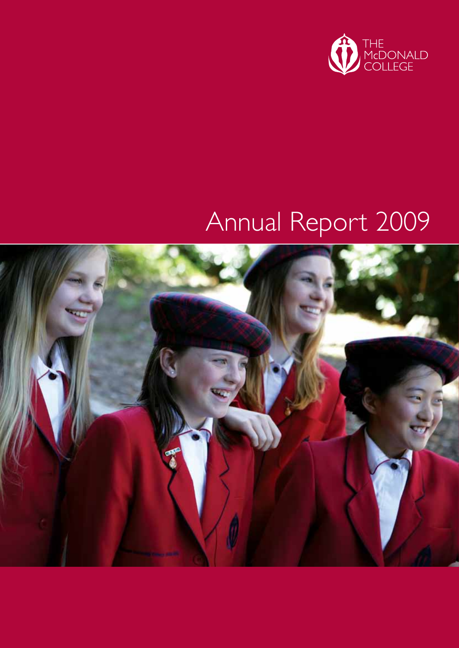

# Annual Report 2009

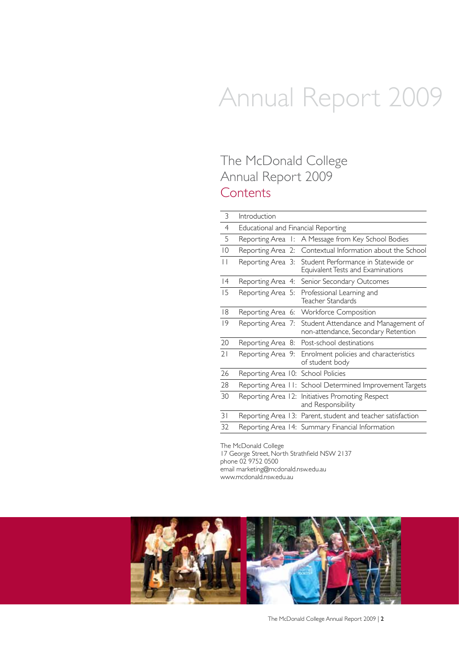# Annual Report 2009

## The McDonald College Annual Report 2009 **Contents**

| 3               | Introduction                        |                                                                             |
|-----------------|-------------------------------------|-----------------------------------------------------------------------------|
| $\overline{4}$  | Educational and Financial Reporting |                                                                             |
| 5               |                                     | Reporting Area I: A Message from Key School Bodies                          |
| $\overline{0}$  | Reporting Area 2:                   | Contextual Information about the School                                     |
| $\vert \ \vert$ | Reporting Area 3:                   | Student Performance in Statewide or<br>Equivalent Tests and Examinations    |
| 4               | Reporting Area 4:                   | Senior Secondary Outcomes                                                   |
| 15              | Reporting Area 5:                   | Professional Learning and<br>Teacher Standards                              |
| 18              |                                     | Reporting Area 6: Workforce Composition                                     |
| 9               | Reporting Area 7:                   | Student Attendance and Management of<br>non-attendance, Secondary Retention |
| 20              |                                     | Reporting Area 8: Post-school destinations                                  |
| 21              |                                     | Reporting Area 9: Enrolment policies and characteristics<br>of student body |
| 26              | Reporting Area 10: School Policies  |                                                                             |
| 28              |                                     | Reporting Area 11: School Determined Improvement Targets                    |
| 30              |                                     | Reporting Area 12: Initiatives Promoting Respect<br>and Responsibility      |
| 31              |                                     | Reporting Area 13: Parent, student and teacher satisfaction                 |
| 32              |                                     | Reporting Area 14: Summary Financial Information                            |

The McDonald College 17 George Street, North Strathfield NSW 2137 phone 02 9752 0500 email marketing@mcdonald.nsw.edu.au www.mcdonald.nsw.edu.au

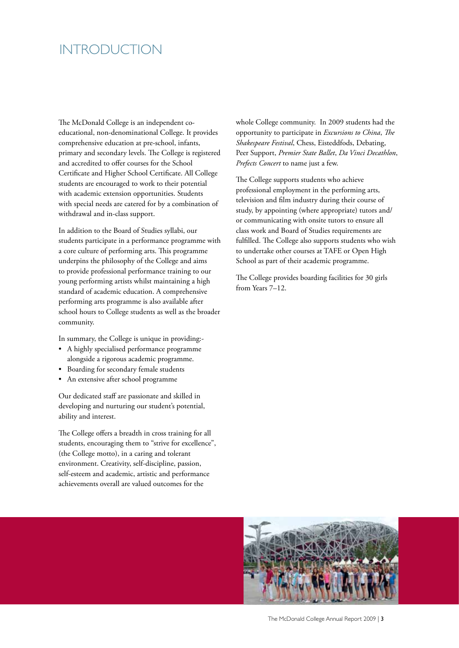### INTRODUCTION

The McDonald College is an independent coeducational, non-denominational College. It provides comprehensive education at pre-school, infants, primary and secondary levels. The College is registered and accredited to offer courses for the School Certificate and Higher School Certificate. All College students are encouraged to work to their potential with academic extension opportunities. Students with special needs are catered for by a combination of withdrawal and in-class support.

In addition to the Board of Studies syllabi, our students participate in a performance programme with a core culture of performing arts. This programme underpins the philosophy of the College and aims to provide professional performance training to our young performing artists whilst maintaining a high standard of academic education. A comprehensive performing arts programme is also available after school hours to College students as well as the broader community.

In summary, the College is unique in providing:-

- A highly specialised performance programme alongside a rigorous academic programme.
- Boarding for secondary female students
- An extensive after school programme

Our dedicated staff are passionate and skilled in developing and nurturing our student's potential, ability and interest.

The College offers a breadth in cross training for all students, encouraging them to "strive for excellence", (the College motto), in a caring and tolerant environment. Creativity, self-discipline, passion, self-esteem and academic, artistic and performance achievements overall are valued outcomes for the

whole College community. In 2009 students had the opportunity to participate in *Excursions to China*, *The Shakespeare Festival*, Chess, Eisteddfods, Debating, Peer Support, *Premier State Ballet*, *Da Vinci Decathlon*, *Prefects Concert* to name just a few.

The College supports students who achieve professional employment in the performing arts, television and film industry during their course of study, by appointing (where appropriate) tutors and/ or communicating with onsite tutors to ensure all class work and Board of Studies requirements are fulfilled. The College also supports students who wish to undertake other courses at TAFE or Open High School as part of their academic programme.

The College provides boarding facilities for 30 girls from Years 7–12.

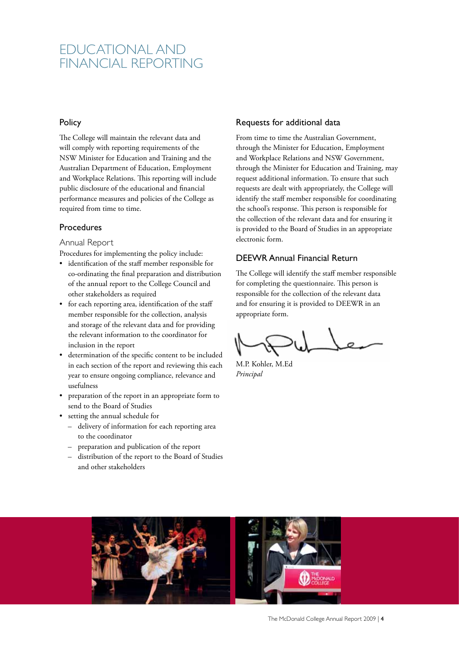### EDUCATIONAL AND FINANCIAL REPORTING

#### **Policy**

The College will maintain the relevant data and will comply with reporting requirements of the NSW Minister for Education and Training and the Australian Department of Education, Employment and Workplace Relations. This reporting will include public disclosure of the educational and financial performance measures and policies of the College as required from time to time.

#### Procedures

Annual Report

Procedures for implementing the policy include:

- identification of the staff member responsible for co-ordinating the final preparation and distribution of the annual report to the College Council and other stakeholders as required
- for each reporting area, identification of the staff member responsible for the collection, analysis and storage of the relevant data and for providing the relevant information to the coordinator for inclusion in the report
- determination of the specific content to be included in each section of the report and reviewing this each year to ensure ongoing compliance, relevance and usefulness
- preparation of the report in an appropriate form to send to the Board of Studies
- setting the annual schedule for
	- delivery of information for each reporting area to the coordinator
	- preparation and publication of the report
	- distribution of the report to the Board of Studies and other stakeholders

#### Requests for additional data

From time to time the Australian Government, through the Minister for Education, Employment and Workplace Relations and NSW Government, through the Minister for Education and Training, may request additional information. To ensure that such requests are dealt with appropriately, the College will identify the staff member responsible for coordinating the school's response. This person is responsible for the collection of the relevant data and for ensuring it is provided to the Board of Studies in an appropriate electronic form.

#### DEEWR Annual Financial Return

The College will identify the staff member responsible for completing the questionnaire. This person is responsible for the collection of the relevant data and for ensuring it is provided to DEEWR in an appropriate form.

M.P. Kohler, M.Ed *Principal*

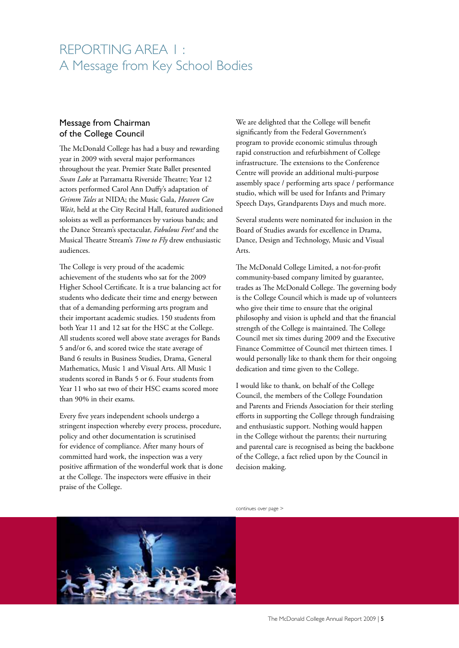## REPORTING AREA 1 : A Message from Key School Bodies

### Message from Chairman of the College Council

The McDonald College has had a busy and rewarding year in 2009 with several major performances throughout the year. Premier State Ballet presented *Swan Lake* at Parramatta Riverside Theatre; Year 12 actors performed Carol Ann Duffy's adaptation of *Grimm Tales* at NIDA; the Music Gala, *Heaven Can Wait*, held at the City Recital Hall, featured auditioned soloists as well as performances by various bands; and the Dance Stream's spectacular, *Fabulous Feet!* and the Musical Theatre Stream's *Time to Fly* drew enthusiastic audiences.

The College is very proud of the academic achievement of the students who sat for the 2009 Higher School Certificate. It is a true balancing act for students who dedicate their time and energy between that of a demanding performing arts program and their important academic studies. 150 students from both Year 11 and 12 sat for the HSC at the College. All students scored well above state averages for Bands 5 and/or 6, and scored twice the state average of Band 6 results in Business Studies, Drama, General Mathematics, Music 1 and Visual Arts. All Music 1 students scored in Bands 5 or 6. Four students from Year 11 who sat two of their HSC exams scored more than 90% in their exams.

Every five years independent schools undergo a stringent inspection whereby every process, procedure, policy and other documentation is scrutinised for evidence of compliance. After many hours of committed hard work, the inspection was a very positive affirmation of the wonderful work that is done at the College. The inspectors were effusive in their praise of the College.

We are delighted that the College will benefit significantly from the Federal Government's program to provide economic stimulus through rapid construction and refurbishment of College infrastructure. The extensions to the Conference Centre will provide an additional multi-purpose assembly space / performing arts space / performance studio, which will be used for Infants and Primary Speech Days, Grandparents Days and much more.

Several students were nominated for inclusion in the Board of Studies awards for excellence in Drama, Dance, Design and Technology, Music and Visual Arts.

The McDonald College Limited, a not-for-profit community-based company limited by guarantee, trades as The McDonald College. The governing body is the College Council which is made up of volunteers who give their time to ensure that the original philosophy and vision is upheld and that the financial strength of the College is maintained. The College Council met six times during 2009 and the Executive Finance Committee of Council met thirteen times. I would personally like to thank them for their ongoing dedication and time given to the College.

I would like to thank, on behalf of the College Council, the members of the College Foundation and Parents and Friends Association for their sterling efforts in supporting the College through fundraising and enthusiastic support. Nothing would happen in the College without the parents; their nurturing and parental care is recognised as being the backbone of the College, a fact relied upon by the Council in decision making.

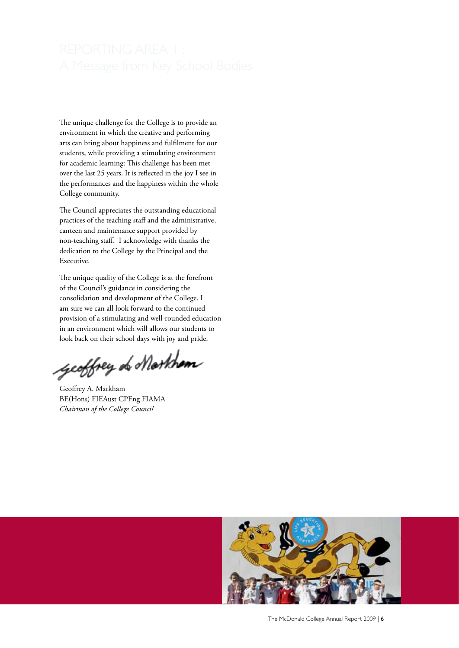The unique challenge for the College is to provide an environment in which the creative and performing arts can bring about happiness and fulfilment for our students, while providing a stimulating environment for academic learning: This challenge has been met over the last 25 years. It is reflected in the joy I see in the performances and the happiness within the whole College community.

The Council appreciates the outstanding educational practices of the teaching staff and the administrative, canteen and maintenance support provided by non-teaching staff. I acknowledge with thanks the dedication to the College by the Principal and the Executive.

The unique quality of the College is at the forefront of the Council's guidance in considering the consolidation and development of the College. I am sure we can all look forward to the continued provision of a stimulating and well-rounded education in an environment which will allows our students to look back on their school days with joy and pride.

geoffrey of Markham

Geoffrey A. Markham BE(Hons) FIEAust CPEng FIAMA *Chairman of the College Council*



The McDonald College Annual Report 2009 | 6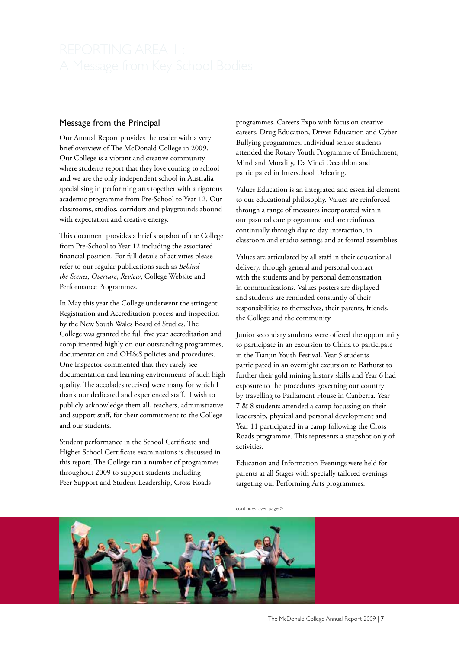#### Message from the Principal

Our Annual Report provides the reader with a very brief overview of The McDonald College in 2009. Our College is a vibrant and creative community where students report that they love coming to school and we are the only independent school in Australia specialising in performing arts together with a rigorous academic programme from Pre-School to Year 12. Our classrooms, studios, corridors and playgrounds abound with expectation and creative energy.

This document provides a brief snapshot of the College from Pre-School to Year 12 including the associated financial position. For full details of activities please refer to our regular publications such as *Behind the Scenes*, *Overture*, *Review*, College Website and Performance Programmes.

In May this year the College underwent the stringent Registration and Accreditation process and inspection by the New South Wales Board of Studies. The College was granted the full five year accreditation and complimented highly on our outstanding programmes, documentation and OH&S policies and procedures. One Inspector commented that they rarely see documentation and learning environments of such high quality. The accolades received were many for which I thank our dedicated and experienced staff. I wish to publicly acknowledge them all, teachers, administrative and support staff, for their commitment to the College and our students.

Student performance in the School Certificate and Higher School Certificate examinations is discussed in this report. The College ran a number of programmes throughout 2009 to support students including Peer Support and Student Leadership, Cross Roads

programmes, Careers Expo with focus on creative careers, Drug Education, Driver Education and Cyber Bullying programmes. Individual senior students attended the Rotary Youth Programme of Enrichment, Mind and Morality, Da Vinci Decathlon and participated in Interschool Debating.

Values Education is an integrated and essential element to our educational philosophy. Values are reinforced through a range of measures incorporated within our pastoral care programme and are reinforced continually through day to day interaction, in classroom and studio settings and at formal assemblies.

Values are articulated by all staff in their educational delivery, through general and personal contact with the students and by personal demonstration in communications. Values posters are displayed and students are reminded constantly of their responsibilities to themselves, their parents, friends, the College and the community.

Junior secondary students were offered the opportunity to participate in an excursion to China to participate in the Tianjin Youth Festival. Year 5 students participated in an overnight excursion to Bathurst to further their gold mining history skills and Year 6 had exposure to the procedures governing our country by travelling to Parliament House in Canberra. Year 7 & 8 students attended a camp focussing on their leadership, physical and personal development and Year 11 participated in a camp following the Cross Roads programme. This represents a snapshot only of activities.

Education and Information Evenings were held for parents at all Stages with specially tailored evenings targeting our Performing Arts programmes.

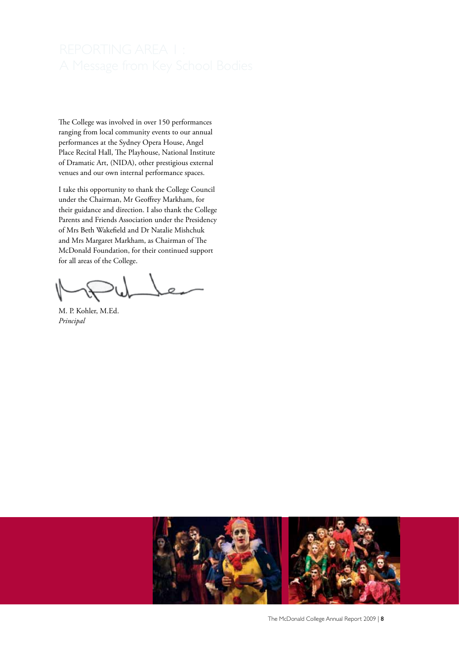The College was involved in over 150 performances ranging from local community events to our annual performances at the Sydney Opera House, Angel Place Recital Hall, The Playhouse, National Institute of Dramatic Art, (NIDA), other prestigious external venues and our own internal performance spaces.

I take this opportunity to thank the College Council under the Chairman, Mr Geoffrey Markham, for their guidance and direction. I also thank the College Parents and Friends Association under the Presidency of Mrs Beth Wakefield and Dr Natalie Mishchuk and Mrs Margaret Markham, as Chairman of The McDonald Foundation, for their continued support for all areas of the College.

where

M. P. Kohler, M.Ed. *Principal*

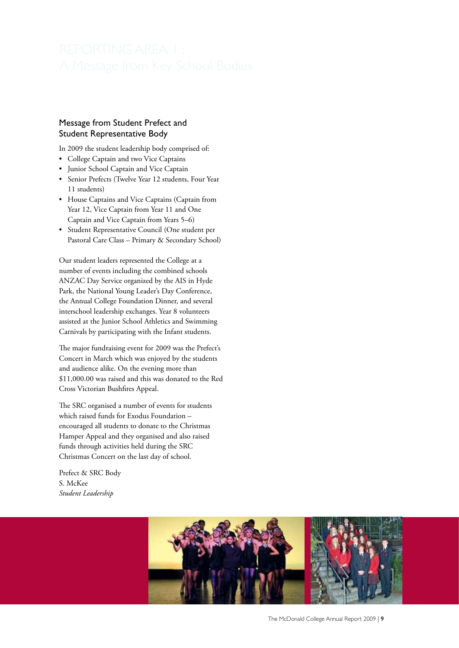### Message from Student Prefect and Student Representative Body

In 2009 the student leadership body comprised of:

- College Captain and two Vice Captains
- Junior School Captain and Vice Captain
- Senior Prefects (Twelve Year 12 students, Four Year 11 students)
- House Captains and Vice Captains (Captain from Year 12, Vice Captain from Year 11 and One Captain and Vice Captain from Years 5–6)
- Student Representative Council (One student per Pastoral Care Class – Primary & Secondary School)

Our student leaders represented the College at a number of events including the combined schools ANZAC Day Service organized by the AIS in Hyde Park, the National Young Leader's Day Conference, the Annual College Foundation Dinner, and several interschool leadership exchanges. Year 8 volunteers assisted at the Junior School Athletics and Swimming Carnivals by participating with the Infant students.

The major fundraising event for 2009 was the Prefect's Concert in March which was enjoyed by the students and audience alike. On the evening more than \$11,000.00 was raised and this was donated to the Red Cross Victorian Bushfires Appeal.

The SRC organised a number of events for students which raised funds for Exodus Foundation – encouraged all students to donate to the Christmas Hamper Appeal and they organised and also raised funds through activities held during the SRC Christmas Concert on the last day of school.

Prefect & SRC Body S. McKee *Student Leadership*

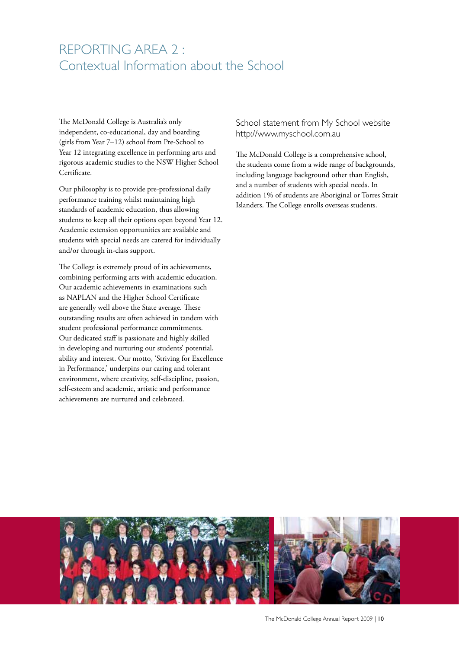### REPORTING AREA 2 : Contextual Information about the School

The McDonald College is Australia's only independent, co-educational, day and boarding (girls from Year 7–12) school from Pre-School to Year 12 integrating excellence in performing arts and rigorous academic studies to the NSW Higher School Certificate.

Our philosophy is to provide pre-professional daily performance training whilst maintaining high standards of academic education, thus allowing students to keep all their options open beyond Year 12. Academic extension opportunities are available and students with special needs are catered for individually and/or through in-class support.

The College is extremely proud of its achievements, combining performing arts with academic education. Our academic achievements in examinations such as NAPLAN and the Higher School Certificate are generally well above the State average. These outstanding results are often achieved in tandem with student professional performance commitments. Our dedicated staff is passionate and highly skilled in developing and nurturing our students' potential, ability and interest. Our motto, 'Striving for Excellence in Performance,' underpins our caring and tolerant environment, where creativity, self-discipline, passion, self-esteem and academic, artistic and performance achievements are nurtured and celebrated.

School statement from My School website http://www.myschool.com.au

The McDonald College is a comprehensive school, the students come from a wide range of backgrounds, including language background other than English, and a number of students with special needs. In addition 1% of students are Aboriginal or Torres Strait Islanders. The College enrolls overseas students.

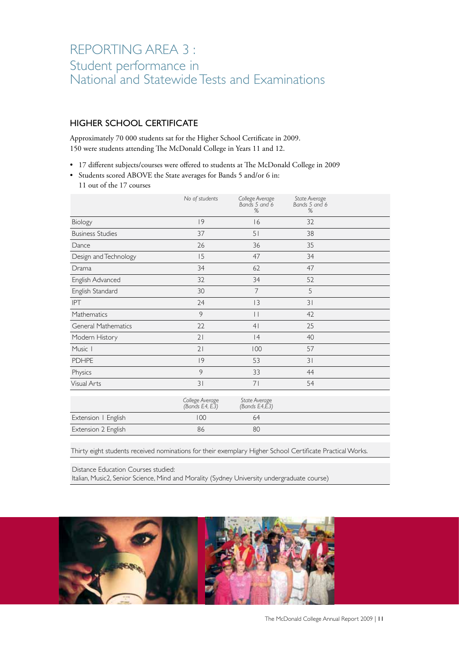### REPORTING AREA 3 : Student performance in National and Statewide Tests and Examinations

### HIGHER SCHOOL CERTIFICATE

Approximately 70 000 students sat for the Higher School Certificate in 2009. 150 were students attending The McDonald College in Years 11 and 12.

• 17 different subjects/courses were offered to students at The McDonald College in 2009

• Students scored ABOVE the State averages for Bands 5 and/or 6 in: 11 out of the 17 courses

|                            | No of students                    | College Average<br>Bands 5 and 6<br>%          | State Average<br>Bands 5 and 6<br>% |  |
|----------------------------|-----------------------------------|------------------------------------------------|-------------------------------------|--|
| Biology                    | 9                                 | 16                                             | 32                                  |  |
| <b>Business Studies</b>    | 37                                | 51                                             | 38                                  |  |
| Dance                      | 26                                | 36                                             | 35                                  |  |
| Design and Technology      | 15                                | 47                                             | 34                                  |  |
| Drama                      | 34                                | 62                                             | 47                                  |  |
| English Advanced           | 32                                | 34                                             | 52                                  |  |
| English Standard           | 30                                | 7                                              | 5                                   |  |
| <b>IPT</b>                 | 24                                | 3                                              | 31                                  |  |
| Mathematics                | 9                                 | $\vert \vert$                                  | 42                                  |  |
| <b>General Mathematics</b> | 22                                | 4 <sub>1</sub>                                 | 25                                  |  |
| Modern History             | 21                                | 4                                              | 40                                  |  |
| Music 1                    | 21                                | 100                                            | 57                                  |  |
| <b>PDHPE</b>               | 9                                 | 53                                             | 31                                  |  |
| Physics                    | 9                                 | 33                                             | 44                                  |  |
| <b>Visual Arts</b>         | $\overline{3}$                    | 71                                             | 54                                  |  |
|                            | College Average<br>(Bands E4, E3) | State Average<br>(Bands $E4, \widetilde{E}3$ ) |                                     |  |
| Extension   English        | 100                               | 64                                             |                                     |  |
| Extension 2 English        | 86                                | 80                                             |                                     |  |

Thirty eight students received nominations for their exemplary Higher School Certificate Practical Works.

Distance Education Courses studied:

Italian, Music2, Senior Science, Mind and Morality (Sydney University undergraduate course)

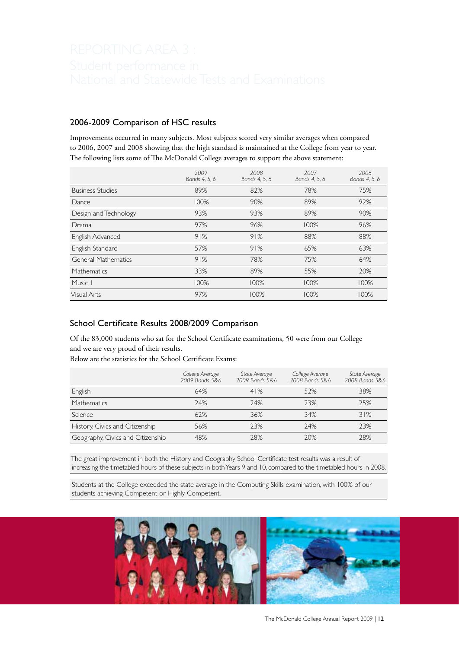#### 2006-2009 Comparison of HSC results

Improvements occurred in many subjects. Most subjects scored very similar averages when compared to 2006, 2007 and 2008 showing that the high standard is maintained at the College from year to year. The following lists some of The McDonald College averages to support the above statement:

|                            | 2009<br>Bands 4, 5, 6 | 2008<br>Bands 4, 5, 6 | 2007<br>Bands 4, 5, 6 | 2006<br>Bands 4, 5, 6 |
|----------------------------|-----------------------|-----------------------|-----------------------|-----------------------|
| <b>Business Studies</b>    | 89%                   | 82%                   | 78%                   | 75%                   |
| Dance                      | 100%                  | 90%                   | 89%                   | 92%                   |
| Design and Technology      | 93%                   | 93%                   | 89%                   | 90%                   |
| Drama                      | 97%                   | 96%                   | 100%                  | 96%                   |
| English Advanced           | 91%                   | 91%                   | 88%                   | 88%                   |
| English Standard           | 57%                   | 91%                   | 65%                   | 63%                   |
| <b>General Mathematics</b> | 91%                   | 78%                   | 75%                   | 64%                   |
| <b>Mathematics</b>         | 33%                   | 89%                   | 55%                   | 20%                   |
| Music 1                    | 100%                  | 100%                  | 100%                  | 100%                  |
| Visual Arts                | 97%                   | 100%                  | 100%                  | 100%                  |

### School Certificate Results 2008/2009 Comparison

Of the 83,000 students who sat for the School Certificate examinations, 50 were from our College and we are very proud of their results.

Below are the statistics for the School Certificate Exams:

|                                   | College Average<br>2009 Bands 5&6 | State Average<br>2009 Bands 5&6 | College Average<br>2008 Bands 5&6 | State Average<br>2008 Bands 5&6 |
|-----------------------------------|-----------------------------------|---------------------------------|-----------------------------------|---------------------------------|
| English                           | 64%                               | 41%                             | 52%                               | 38%                             |
| Mathematics                       | 24%                               | 24%                             | 23%                               | 25%                             |
| Science                           | 62%                               | 36%                             | 34%                               | 31%                             |
| History, Civics and Citizenship   | 56%                               | 23%                             | 24%                               | 23%                             |
| Geography, Civics and Citizenship | 48%                               | 28%                             | 20%                               | 28%                             |

 The great improvement in both the History and Geography School Certificate test results was a result of increasing the timetabled hours of these subjects in both Years 9 and 10, compared to the timetabled hours in 2008.

 Students at the College exceeded the state average in the Computing Skills examination, with 100% of our students achieving Competent or Highly Competent.

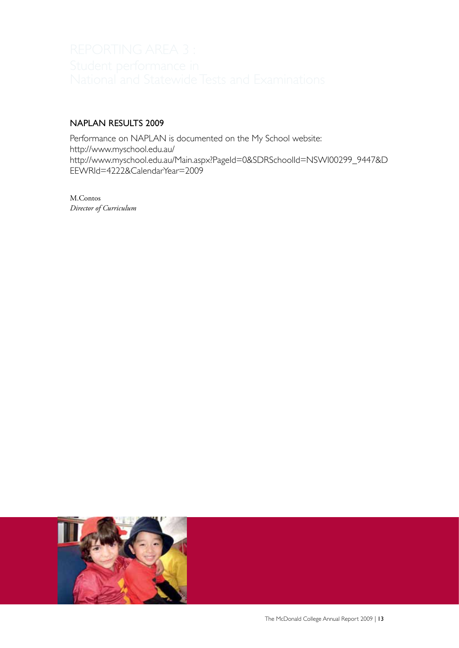### NAPLAN RESULTS 2009

Performance on NAPLAN is documented on the My School website: http://www.myschool.edu.au/ http://www.myschool.edu.au/Main.aspx?PageId=0&SDRSchoolId=NSWI00299\_9447&D EEWRId=4222&CalendarYear=2009

M.Contos *Director of Curriculum*

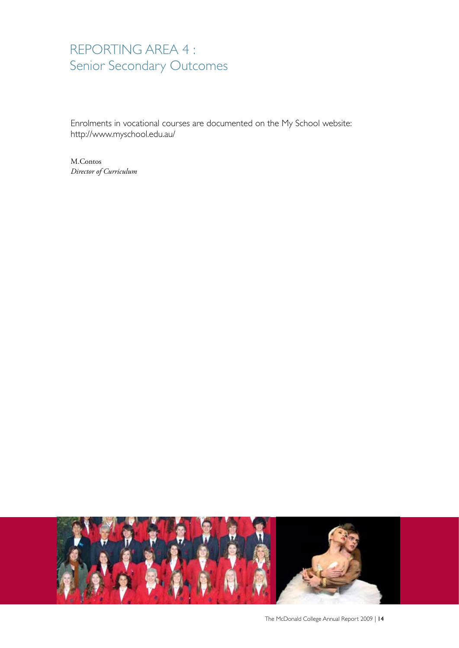## REPORTING AREA 4 : Senior Secondary Outcomes

Enrolments in vocational courses are documented on the My School website: http://www.myschool.edu.au/

M.Contos *Director of Curriculum*

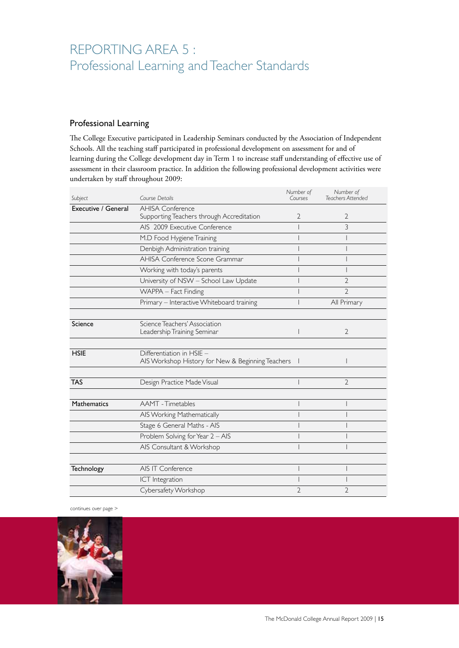## REPORTING AREA 5 : Professional Learning and Teacher Standards

### Professional Learning

The College Executive participated in Leadership Seminars conducted by the Association of Independent Schools. All the teaching staff participated in professional development on assessment for and of learning during the College development day in Term 1 to increase staff understanding of effective use of assessment in their classroom practice. In addition the following professional development activities were undertaken by staff throughout 2009:

| Subject             | Course Details                                                                 | Number of<br>Courses | Number of<br>Teachers Attended |
|---------------------|--------------------------------------------------------------------------------|----------------------|--------------------------------|
| Executive / General | <b>AHISA Conference</b>                                                        |                      |                                |
|                     | Supporting Teachers through Accreditation                                      | 2                    | 2                              |
|                     | AIS 2009 Executive Conference                                                  |                      | 3                              |
|                     | M.D Food Hygiene Training                                                      |                      |                                |
|                     | Denbigh Administration training                                                |                      |                                |
|                     | AHISA Conference Scone Grammar                                                 |                      |                                |
|                     | Working with today's parents                                                   |                      |                                |
|                     | University of NSW - School Law Update                                          |                      | 2                              |
|                     | WAPPA - Fact Finding                                                           |                      | $\overline{2}$                 |
|                     | Primary - Interactive Whiteboard training                                      |                      | All Primary                    |
|                     |                                                                                |                      |                                |
| Science             | Science Teachers' Association<br>Leadership Training Seminar                   |                      | $\overline{2}$                 |
|                     |                                                                                |                      |                                |
| <b>HSIE</b>         | Differentiation in HSIE -<br>AIS Workshop History for New & Beginning Teachers |                      |                                |
|                     |                                                                                |                      |                                |
| <b>TAS</b>          | Design Practice Made Visual                                                    |                      | 2                              |
|                     |                                                                                |                      |                                |
| <b>Mathematics</b>  | <b>AAMT</b> - Timetables                                                       |                      |                                |
|                     | AIS Working Mathematically                                                     |                      |                                |
|                     | Stage 6 General Maths - AIS                                                    |                      |                                |
|                     | Problem Solving for Year 2 - AIS                                               |                      |                                |
|                     | AIS Consultant & Workshop                                                      |                      |                                |
|                     |                                                                                |                      |                                |
| Technology          | AIS IT Conference                                                              |                      |                                |
|                     | ICT Integration                                                                |                      |                                |
|                     | Cybersafety Workshop                                                           | 2                    | $\overline{2}$                 |

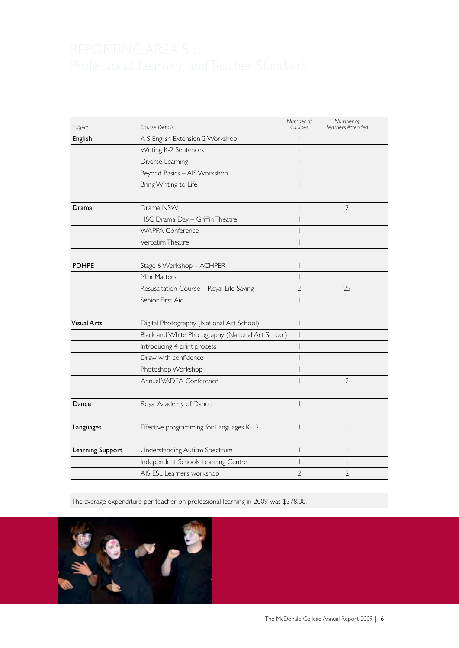| Subject            | Course Details                                    | Number of<br>Courses | Number of<br>Teachers Attended |
|--------------------|---------------------------------------------------|----------------------|--------------------------------|
| English            | AIS English Extension 2 Workshop                  |                      |                                |
|                    | Writing K-2 Sentences                             |                      |                                |
|                    | Diverse Learning                                  |                      |                                |
|                    | Beyond Basics - AIS Workshop                      |                      |                                |
|                    | Bring Writing to Life                             |                      |                                |
|                    |                                                   |                      |                                |
| Drama              | Drama NSW                                         |                      | $\overline{2}$                 |
|                    | HSC Drama Day - Griffin Theatre                   |                      |                                |
|                    | <b>WAPPA Conference</b>                           |                      |                                |
|                    | Verbatim Theatre                                  |                      |                                |
|                    |                                                   |                      |                                |
| <b>PDHPE</b>       | Stage 6 Workshop - ACHPER                         |                      |                                |
|                    | MindMatters                                       |                      |                                |
|                    | Resuscitation Course - Royal Life Saving          | 2                    | 25                             |
|                    | Senior First Aid                                  |                      | I                              |
|                    |                                                   |                      |                                |
| <b>Visual Arts</b> | Digital Photography (National Art School)         |                      |                                |
|                    | Black and White Photography (National Art School) |                      |                                |
|                    | Introducing 4 print process                       |                      |                                |
|                    | Draw with confidence                              |                      |                                |
|                    | Photoshop Workshop                                |                      |                                |
|                    | Annual VADEA Conference                           |                      | $\overline{2}$                 |
|                    |                                                   |                      |                                |
| Dance              | Royal Academy of Dance                            |                      |                                |
|                    |                                                   |                      |                                |
| Languages          | Effective programming for Languages K-12          |                      | I                              |
|                    |                                                   |                      |                                |
| Learning Support   | Understanding Autism Spectrum                     |                      |                                |
|                    | Independent Schools Learning Centre               |                      |                                |
|                    | AIS ESL Learners workshop                         | 2                    | 2                              |

The average expenditure per teacher on professional learning in 2009 was \$378.00.

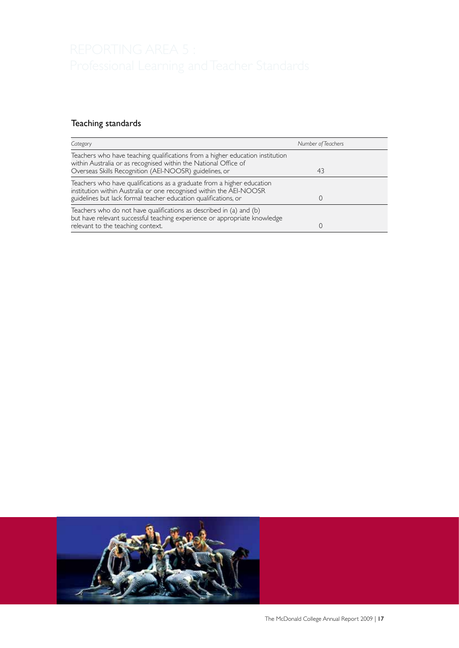### Teaching standards

| Category                                                                                                                                                                                                         | Number of Teachers |
|------------------------------------------------------------------------------------------------------------------------------------------------------------------------------------------------------------------|--------------------|
| Teachers who have teaching qualifications from a higher education institution<br>within Australia or as recognised within the National Office of<br>Overseas Skills Recognition (AEI-NOOSR) guidelines, or       | 43                 |
| Teachers who have qualifications as a graduate from a higher education<br>institution within Australia or one recognised within the AEI-NOOSR<br>guidelines but lack formal teacher education qualifications, or |                    |
| Teachers who do not have qualifications as described in (a) and (b)<br>but have relevant successful teaching experience or appropriate knowledge<br>relevant to the teaching context.                            |                    |

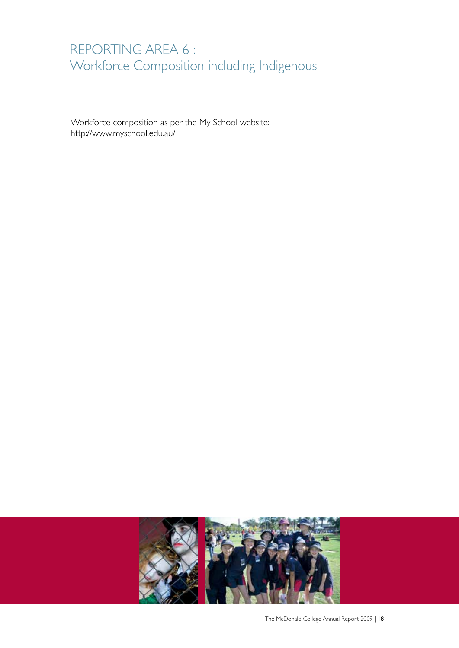## REPORTING AREA 6 : Workforce Composition including Indigenous

Workforce composition as per the My School website: http://www.myschool.edu.au/



The McDonald College Annual Report 2009 | 18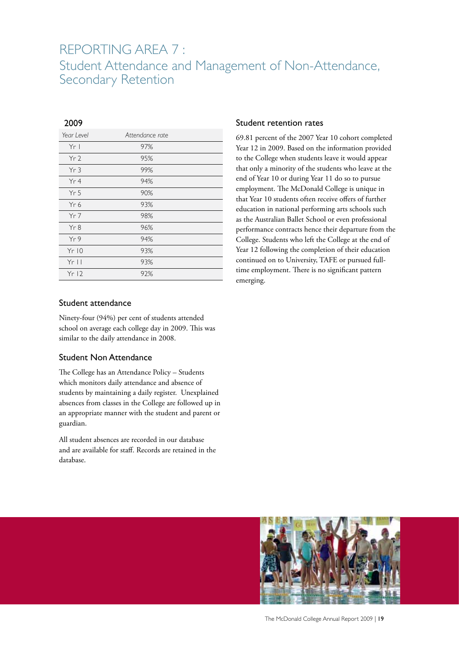### REPORTING AREA 7 : Student Attendance and Management of Non-Attendance, Secondary Retention

### 2009

| Yr <sub>l</sub><br>97%<br>Yr <sub>2</sub><br>95%<br>99%<br>Yr3<br>Yr4<br>94% |
|------------------------------------------------------------------------------|
|                                                                              |
|                                                                              |
|                                                                              |
|                                                                              |
| 90%<br>Yr <sub>5</sub>                                                       |
| Yr6<br>93%                                                                   |
| 98%<br>$Yr$ 7                                                                |
| Yr8<br>96%                                                                   |
| Yr9<br>94%                                                                   |
| 93%<br>Yr10                                                                  |
| $Yr$   <br>93%                                                               |
| Yr12<br>92%                                                                  |

#### Student attendance

Ninety-four (94%) per cent of students attended school on average each college day in 2009. This was similar to the daily attendance in 2008.

#### Student Non Attendance

The College has an Attendance Policy – Students which monitors daily attendance and absence of students by maintaining a daily register. Unexplained absences from classes in the College are followed up in an appropriate manner with the student and parent or guardian.

All student absences are recorded in our database and are available for staff. Records are retained in the database.

#### Student retention rates

69.81 percent of the 2007 Year 10 cohort completed Year 12 in 2009. Based on the information provided to the College when students leave it would appear that only a minority of the students who leave at the end of Year 10 or during Year 11 do so to pursue employment. The McDonald College is unique in that Year 10 students often receive offers of further education in national performing arts schools such as the Australian Ballet School or even professional performance contracts hence their departure from the College. Students who left the College at the end of Year 12 following the completion of their education continued on to University, TAFE or pursued fulltime employment. There is no significant pattern emerging.

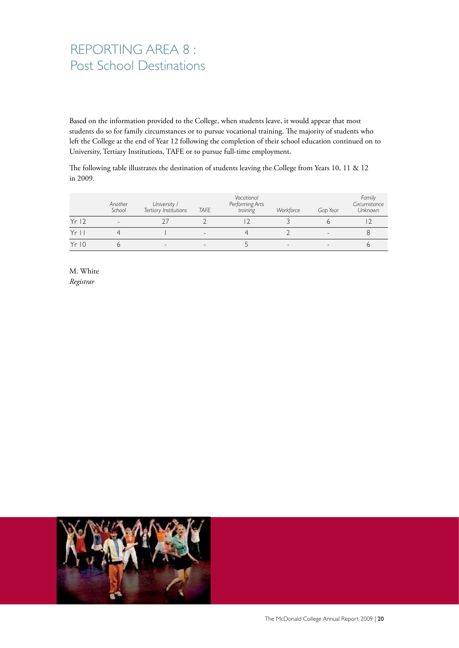## REPORTING AREA 8 : Post School Destinations

Based on the information provided to the College, when students leave, it would appear that most students do so for family circumstances or to pursue vocational training. The majority of students who left the College at the end of Year 12 following the completion of their school education continued on to University, Tertiary Institutions, TAFE or to pursue full-time employment.

The following table illustrates the destination of students leaving the College from Years 10, 11 & 12 in 2009.

|       | Another<br>School | University /<br>Tertiary Institutions | <b>TAFE</b> | Vocational<br>Performing Arts<br>training | Workforce | Gab Year | Family<br>Circumstance<br><b>Unknown</b> |
|-------|-------------------|---------------------------------------|-------------|-------------------------------------------|-----------|----------|------------------------------------------|
| Yr12  |                   |                                       |             |                                           |           |          |                                          |
| $Yr$  |                   |                                       |             |                                           |           |          |                                          |
| Yr 10 |                   |                                       |             |                                           |           |          |                                          |

M. White *Registrar*

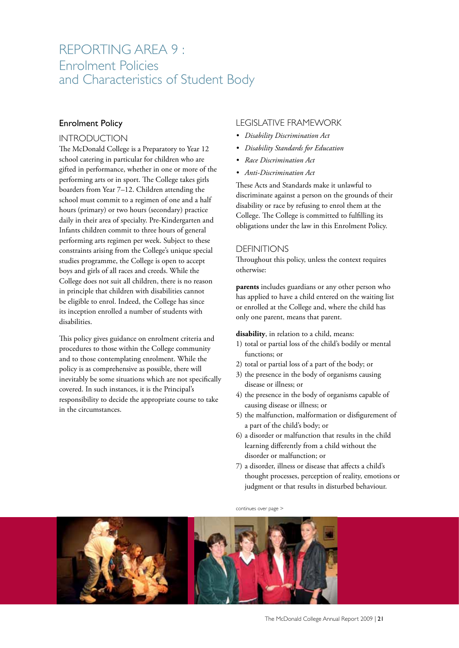### REPORTING AREA 9 : Enrolment Policies and Characteristics of Student Body

### Enrolment Policy

#### INTRODUCTION

The McDonald College is a Preparatory to Year 12 school catering in particular for children who are gifted in performance, whether in one or more of the performing arts or in sport. The College takes girls boarders from Year 7–12. Children attending the school must commit to a regimen of one and a half hours (primary) or two hours (secondary) practice daily in their area of specialty. Pre-Kindergarten and Infants children commit to three hours of general performing arts regimen per week. Subject to these constraints arising from the College's unique special studies programme, the College is open to accept boys and girls of all races and creeds. While the College does not suit all children, there is no reason in principle that children with disabilities cannot be eligible to enrol. Indeed, the College has since its inception enrolled a number of students with disabilities.

This policy gives guidance on enrolment criteria and procedures to those within the College community and to those contemplating enrolment. While the policy is as comprehensive as possible, there will inevitably be some situations which are not specifically covered. In such instances, it is the Principal's responsibility to decide the appropriate course to take in the circumstances.

#### LEGISLATIVE FRAMEWORK

- *Disability Discrimination Act*
- *Disability Standards for Education*
- *Race Discrimination Act*
- *Anti-Discrimination Act*

These Acts and Standards make it unlawful to discriminate against a person on the grounds of their disability or race by refusing to enrol them at the College. The College is committed to fulfilling its obligations under the law in this Enrolment Policy.

#### DEFINITIONS

Throughout this policy, unless the context requires otherwise:

**parents** includes guardians or any other person who has applied to have a child entered on the waiting list or enrolled at the College and, where the child has only one parent, means that parent.

**disability**, in relation to a child, means:

- 1) total or partial loss of the child's bodily or mental functions; or
- 2) total or partial loss of a part of the body; or
- 3) the presence in the body of organisms causing disease or illness; or
- 4) the presence in the body of organisms capable of causing disease or illness; or
- 5) the malfunction, malformation or disfigurement of a part of the child's body; or
- 6) a disorder or malfunction that results in the child learning differently from a child without the disorder or malfunction; or
- 7) a disorder, illness or disease that affects a child's thought processes, perception of reality, emotions or judgment or that results in disturbed behaviour.

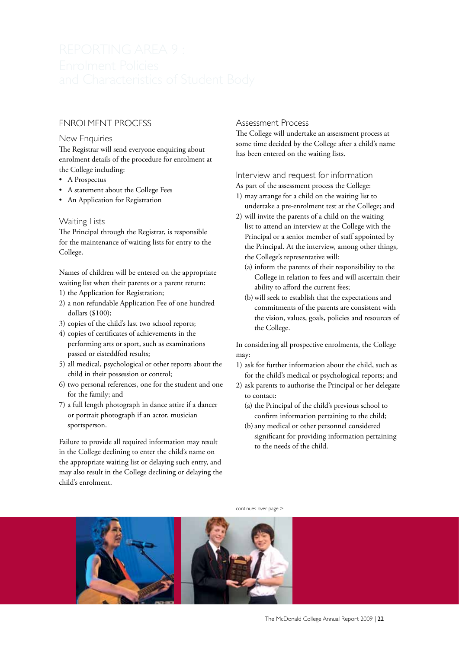### ENROLMENT PROCESS

#### New Enquiries

The Registrar will send everyone enquiring about enrolment details of the procedure for enrolment at the College including:

- A Prospectus
- A statement about the College Fees
- An Application for Registration

#### Waiting Lists

The Principal through the Registrar, is responsible for the maintenance of waiting lists for entry to the College.

Names of children will be entered on the appropriate waiting list when their parents or a parent return:

- 1) the Application for Registration;
- 2) a non refundable Application Fee of one hundred dollars (\$100);
- 3) copies of the child's last two school reports;
- 4) copies of certificates of achievements in the performing arts or sport, such as examinations passed or eisteddfod results;
- 5) all medical, psychological or other reports about the child in their possession or control;
- 6) two personal references, one for the student and one for the family; and
- 7) a full length photograph in dance attire if a dancer or portrait photograph if an actor, musician sportsperson.

Failure to provide all required information may result in the College declining to enter the child's name on the appropriate waiting list or delaying such entry, and may also result in the College declining or delaying the child's enrolment.

#### Assessment Process

The College will undertake an assessment process at some time decided by the College after a child's name has been entered on the waiting lists.

#### Interview and request for information

- As part of the assessment process the College:
- 1) may arrange for a child on the waiting list to undertake a pre-enrolment test at the College; and
- 2) will invite the parents of a child on the waiting list to attend an interview at the College with the Principal or a senior member of staff appointed by the Principal. At the interview, among other things, the College's representative will:
	- (a) inform the parents of their responsibility to the College in relation to fees and will ascertain their ability to afford the current fees;
	- (b) will seek to establish that the expectations and commitments of the parents are consistent with the vision, values, goals, policies and resources of the College.

In considering all prospective enrolments, the College may:

- 1) ask for further information about the child, such as for the child's medical or psychological reports; and
- 2) ask parents to authorise the Principal or her delegate to contact:
	- (a) the Principal of the child's previous school to confirm information pertaining to the child;
	- (b) any medical or other personnel considered significant for providing information pertaining to the needs of the child.

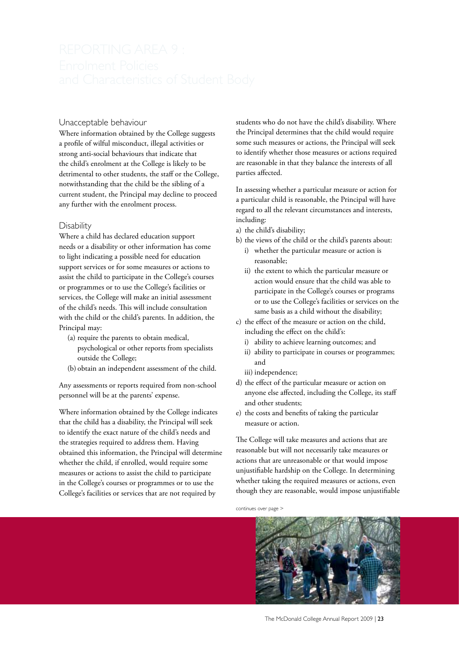#### Unacceptable behaviour

Where information obtained by the College suggests a profile of wilful misconduct, illegal activities or strong anti-social behaviours that indicate that the child's enrolment at the College is likely to be detrimental to other students, the staff or the College, notwithstanding that the child be the sibling of a current student, the Principal may decline to proceed any further with the enrolment process.

#### **Disability**

Where a child has declared education support needs or a disability or other information has come to light indicating a possible need for education support services or for some measures or actions to assist the child to participate in the College's courses or programmes or to use the College's facilities or services, the College will make an initial assessment of the child's needs. This will include consultation with the child or the child's parents. In addition, the Principal may:

- (a) require the parents to obtain medical, psychological or other reports from specialists outside the College;
- (b) obtain an independent assessment of the child.

Any assessments or reports required from non-school personnel will be at the parents' expense.

Where information obtained by the College indicates that the child has a disability, the Principal will seek to identify the exact nature of the child's needs and the strategies required to address them. Having obtained this information, the Principal will determine whether the child, if enrolled, would require some measures or actions to assist the child to participate in the College's courses or programmes or to use the College's facilities or services that are not required by

students who do not have the child's disability. Where the Principal determines that the child would require some such measures or actions, the Principal will seek to identify whether those measures or actions required are reasonable in that they balance the interests of all parties affected.

In assessing whether a particular measure or action for a particular child is reasonable, the Principal will have regard to all the relevant circumstances and interests, including:

- a) the child's disability;
- b) the views of the child or the child's parents about:
	- i) whether the particular measure or action is reasonable;
	- ii) the extent to which the particular measure or action would ensure that the child was able to participate in the College's courses or programs or to use the College's facilities or services on the same basis as a child without the disability;
- c) the effect of the measure or action on the child, including the effect on the child's:
	- i) ability to achieve learning outcomes; and
	- ii) ability to participate in courses or programmes; and
	- iii) independence;
- d) the effect of the particular measure or action on anyone else affected, including the College, its staff and other students;
- e) the costs and benefits of taking the particular measure or action.

The College will take measures and actions that are reasonable but will not necessarily take measures or actions that are unreasonable or that would impose unjustifiable hardship on the College. In determining whether taking the required measures or actions, even though they are reasonable, would impose unjustifiable

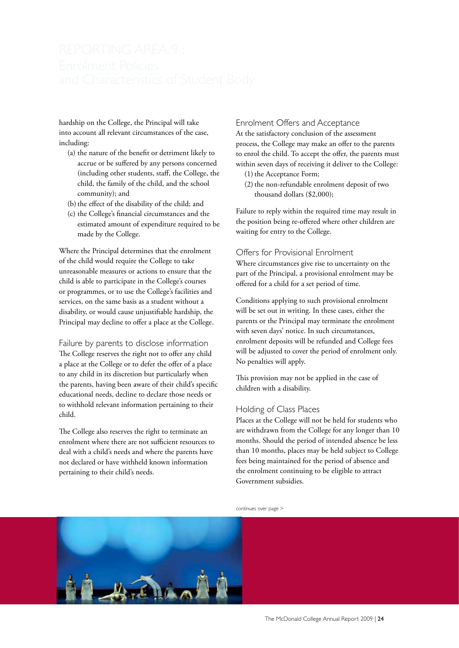hardship on the College, the Principal will take into account all relevant circumstances of the case, including:

- (a) the nature of the benefit or detriment likely to accrue or be suffered by any persons concerned (including other students, staff, the College, the child, the family of the child, and the school community); and
- (b) the effect of the disability of the child; and
- (c) the College's financial circumstances and the estimated amount of expenditure required to be made by the College.

Where the Principal determines that the enrolment of the child would require the College to take unreasonable measures or actions to ensure that the child is able to participate in the College's courses or programmes, or to use the College's facilities and services, on the same basis as a student without a disability, or would cause unjustifiable hardship, the Principal may decline to offer a place at the College.

Failure by parents to disclose information The College reserves the right not to offer any child a place at the College or to defer the offer of a place to any child in its discretion but particularly when the parents, having been aware of their child's specific educational needs, decline to declare those needs or to withhold relevant information pertaining to their child.

The College also reserves the right to terminate an enrolment where there are not sufficient resources to deal with a child's needs and where the parents have not declared or have withheld known information pertaining to their child's needs.

#### Enrolment Offers and Acceptance

At the satisfactory conclusion of the assessment process, the College may make an offer to the parents to enrol the child. To accept the offer, the parents must within seven days of receiving it deliver to the College:

- $(1)$  the Acceptance Form;
- (2) the non-refundable enrolment deposit of two thousand dollars (\$2,000);

Failure to reply within the required time may result in the position being re-offered where other children are waiting for entry to the College.

#### Offers for Provisional Enrolment

Where circumstances give rise to uncertainty on the part of the Principal, a provisional enrolment may be offered for a child for a set period of time.

Conditions applying to such provisional enrolment will be set out in writing. In these cases, either the parents or the Principal may terminate the enrolment with seven days' notice. In such circumstances, enrolment deposits will be refunded and College fees will be adjusted to cover the period of enrolment only. No penalties will apply.

This provision may not be applied in the case of children with a disability.

#### Holding of Class Places

Places at the College will not be held for students who are withdrawn from the College for any longer than 10 months. Should the period of intended absence be less than 10 months, places may be held subject to College fees being maintained for the period of absence and the enrolment continuing to be eligible to attract Government subsidies.

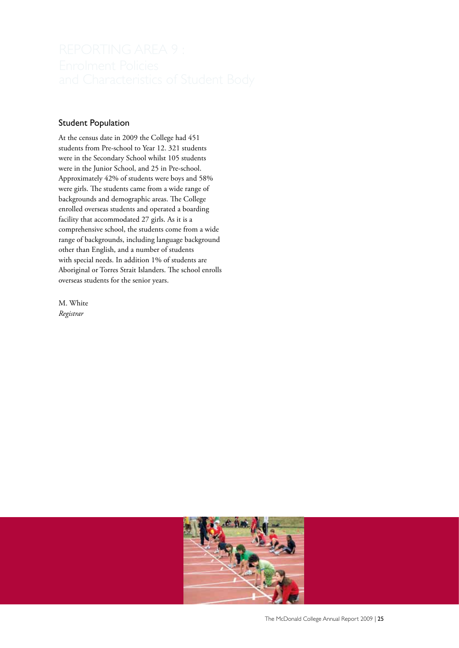#### Student Population

At the census date in 2009 the College had 451 students from Pre-school to Year 12. 321 students were in the Secondary School whilst 105 students were in the Junior School, and 25 in Pre-school. Approximately 42% of students were boys and 58% were girls. The students came from a wide range of backgrounds and demographic areas. The College enrolled overseas students and operated a boarding facility that accommodated 27 girls. As it is a comprehensive school, the students come from a wide range of backgrounds, including language background other than English, and a number of students with special needs. In addition 1% of students are Aboriginal or Torres Strait Islanders. The school enrolls overseas students for the senior years.

M. White *Registrar*

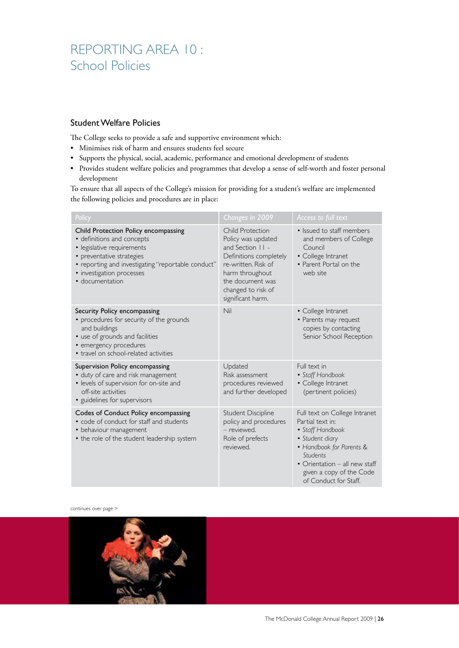## REPORTING AREA 10 : School Policies

#### Student Welfare Policies

The College seeks to provide a safe and supportive environment which:

- Minimises risk of harm and ensures students feel secure
- Supports the physical, social, academic, performance and emotional development of students
- Provides student welfare policies and programmes that develop a sense of self-worth and foster personal development

To ensure that all aspects of the College's mission for providing for a student's welfare are implemented the following policies and procedures are in place:

| Policy                                                                                                                                                                                                                              | Changes in 2009                                                                                                                                                                                      | Access to full text                                                                                                                                                                                                           |
|-------------------------------------------------------------------------------------------------------------------------------------------------------------------------------------------------------------------------------------|------------------------------------------------------------------------------------------------------------------------------------------------------------------------------------------------------|-------------------------------------------------------------------------------------------------------------------------------------------------------------------------------------------------------------------------------|
| Child Protection Policy encompassing<br>• definitions and concepts<br>· legislative requirements<br>• preventative strategies<br>• reporting and investigating "reportable conduct"<br>• investigation processes<br>· documentation | <b>Child Protection</b><br>Policy was updated<br>and Section II -<br>Definitions completely<br>re-written. Risk of<br>harm throughout<br>the document was<br>changed to risk of<br>significant harm. | • Issued to staff members<br>and members of College<br>Council<br>• College Intranet<br>• Parent Portal on the<br>web site                                                                                                    |
| Security Policy encompassing<br>• procedures for security of the grounds<br>and buildings<br>• use of grounds and facilities<br>• emergency procedures<br>• travel on school-related activities                                     | Nil                                                                                                                                                                                                  | • College Intranet<br>• Parents may request<br>copies by contacting<br>Senior School Reception                                                                                                                                |
| Supervision Policy encompassing<br>• duty of care and risk management<br>· levels of supervision for on-site and<br>off-site activities<br>· guidelines for supervisors                                                             | Updated<br>Risk assessment<br>procedures reviewed<br>and further developed                                                                                                                           | Full text in<br>• Staff Handbook<br>• College Intranet<br>(pertinent policies)                                                                                                                                                |
| Codes of Conduct Policy encompassing<br>• code of conduct for staff and students<br>• behaviour management<br>• the role of the student leadership system                                                                           | Student Discipline<br>policy and procedures<br>- reviewed.<br>Role of prefects<br>reviewed.                                                                                                          | Full text on College Intranet<br>Partial text in:<br>• Staff Handbook<br>• Student diary<br>• Handbook for Parents &<br><b>Students</b><br>• Orientation – all new staff<br>given a copy of the Code<br>of Conduct for Staff. |

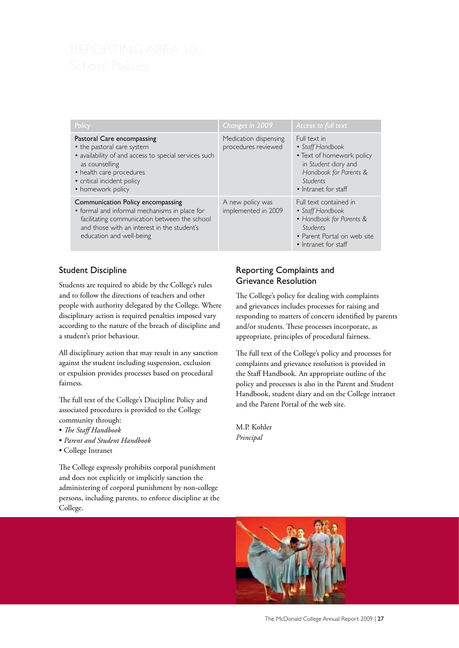| Policy                                                                                                                                                                                                             | Changes in 2009                              | Access to full text                                                                                                                                 |
|--------------------------------------------------------------------------------------------------------------------------------------------------------------------------------------------------------------------|----------------------------------------------|-----------------------------------------------------------------------------------------------------------------------------------------------------|
| Pastoral Care encompassing<br>• the pastoral care system<br>· availability of and access to special services such<br>as counselling<br>• health care procedures<br>• critical incident policy<br>• homework policy | Medication dispensing<br>procedures reviewed | Full text in<br>• Staff Handbook<br>• Text of homework policy<br>in Student diary and<br>Handbook for Parents &<br>Students<br>• Intranet for staff |
| Communication Policy encompassing<br>• formal and informal mechanisms in place for<br>facilitating communication between the school<br>and those with an interest in the student's<br>education and well-being     | A new policy was<br>implemented in 2009      | Full text contained in<br>• Staff Handbook<br>• Handbook for Parents &<br>Students<br>• Parent Portal on web site<br>$\bullet$ Intranet for staff   |

#### Student Discipline

Students are required to abide by the College's rules and to follow the directions of teachers and other people with authority delegated by the College. Where disciplinary action is required penalties imposed vary according to the nature of the breach of discipline and a student's prior behaviour.

All disciplinary action that may result in any sanction against the student including suspension, exclusion or expulsion provides processes based on procedural fairness.

The full text of the College's Discipline Policy and associated procedures is provided to the College community through:

- *The Staff Handbook*
- *Parent and Student Handbook*
- College Intranet

The College expressly prohibits corporal punishment and does not explicitly or implicitly sanction the administering of corporal punishment by non-college persons, including parents, to enforce discipline at the College.

### Reporting Complaints and Grievance Resolution

The College's policy for dealing with complaints and grievances includes processes for raising and responding to matters of concern identified by parents and/or students. These processes incorporate, as appropriate, principles of procedural fairness.

The full text of the College's policy and processes for complaints and grievance resolution is provided in the Staff Handbook. An appropriate outline of the policy and processes is also in the Parent and Student Handbook, student diary and on the College intranet and the Parent Portal of the web site.

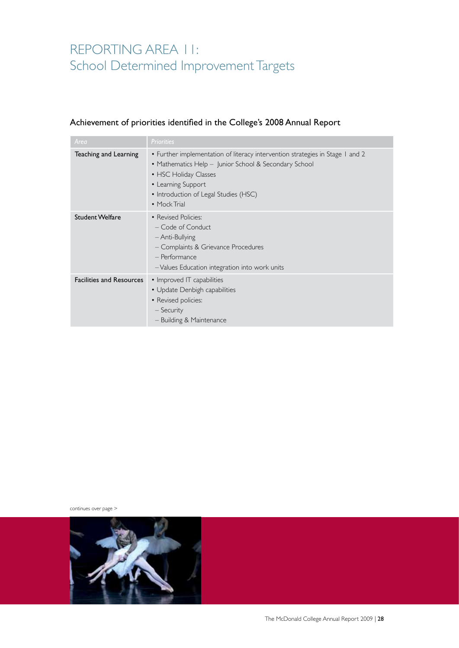## REPORTING AREA 11: School Determined Improvement Targets

### Achievement of priorities identified in the College's 2008 Annual Report

| Area                            | <b>Priorities</b>                                                                                                                                                                                                                              |
|---------------------------------|------------------------------------------------------------------------------------------------------------------------------------------------------------------------------------------------------------------------------------------------|
| Teaching and Learning           | • Further implementation of literacy intervention strategies in Stage 1 and 2<br>• Mathematics Help – Junior School & Secondary School<br>• HSC Holiday Classes<br>• Learning Support<br>• Introduction of Legal Studies (HSC)<br>• Mock Trial |
| <b>Student Welfare</b>          | • Revised Policies:<br>- Code of Conduct<br>- Anti-Bullying<br>- Complaints & Grievance Procedures<br>- Performance<br>-Values Education integration into work units                                                                           |
| <b>Facilities and Resources</b> | • Improved IT capabilities<br>• Update Denbigh capabilities<br>• Revised policies:<br>– Security<br>- Building & Maintenance                                                                                                                   |

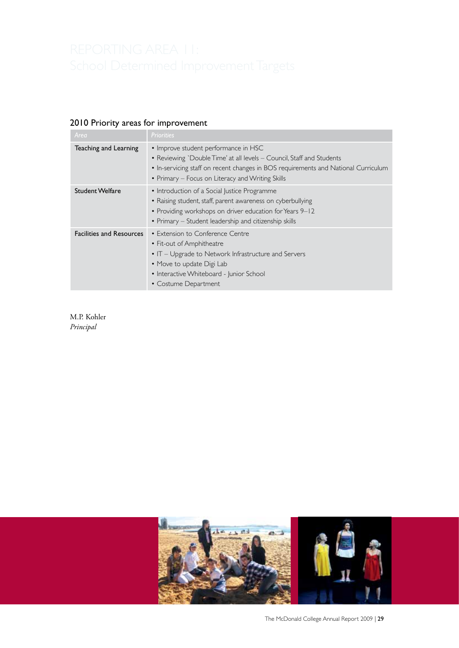### 2010 Priority areas for improvement

| Area                            | <b>Priorities</b>                                                                                                                                                                                                                                       |
|---------------------------------|---------------------------------------------------------------------------------------------------------------------------------------------------------------------------------------------------------------------------------------------------------|
| Teaching and Learning           | • Improve student performance in HSC<br>• Reviewing `Double Time' at all levels – Council, Staff and Students<br>• In-servicing staff on recent changes in BOS requirements and National Curriculum<br>• Primary – Focus on Literacy and Writing Skills |
| <b>Student Welfare</b>          | • Introduction of a Social Justice Programme<br>• Raising student, staff, parent awareness on cyberbullying<br>• Providing workshops on driver education for Years 9–12<br>• Primary – Student leadership and citizenship skills                        |
| <b>Facilities and Resources</b> | • Extension to Conference Centre<br>• Fit-out of Amphitheatre<br>$\bullet$ IT – Upgrade to Network Infrastructure and Servers<br>• Move to update Digi Lab<br>• Interactive Whiteboard - Junior School<br>• Costume Department                          |

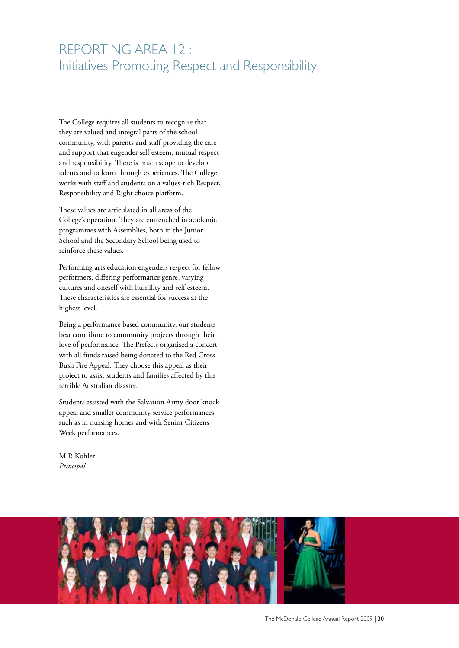## REPORTING AREA 12 : Initiatives Promoting Respect and Responsibility

The College requires all students to recognise that they are valued and integral parts of the school community, with parents and staff providing the care and support that engender self esteem, mutual respect and responsibility. There is much scope to develop talents and to learn through experiences. The College works with staff and students on a values-rich Respect, Responsibility and Right choice platform.

These values are articulated in all areas of the College's operation. They are entrenched in academic programmes with Assemblies, both in the Junior School and the Secondary School being used to reinforce these values.

Performing arts education engenders respect for fellow performers, differing performance genre, varying cultures and oneself with humility and self esteem. These characteristics are essential for success at the highest level.

Being a performance based community, our students best contribute to community projects through their love of performance. The Prefects organised a concert with all funds raised being donated to the Red Cross Bush Fire Appeal. They choose this appeal as their project to assist students and families affected by this terrible Australian disaster.

Students assisted with the Salvation Army door knock appeal and smaller community service performances such as in nursing homes and with Senior Citizens Week performances.

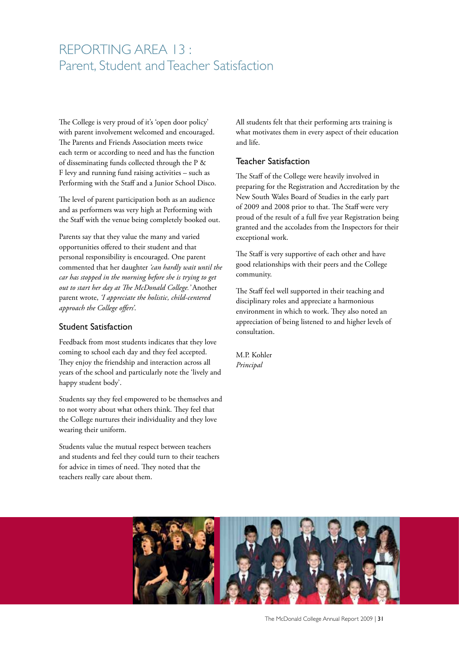## REPORTING AREA 13 : Parent, Student and Teacher Satisfaction

The College is very proud of it's 'open door policy' with parent involvement welcomed and encouraged. The Parents and Friends Association meets twice each term or according to need and has the function of disseminating funds collected through the P & F levy and running fund raising activities – such as Performing with the Staff and a Junior School Disco.

The level of parent participation both as an audience and as performers was very high at Performing with the Staff with the venue being completely booked out.

Parents say that they value the many and varied opportunities offered to their student and that personal responsibility is encouraged. One parent commented that her daughter *'can hardly wait until the car has stopped in the morning before she is trying to get out to start her day at The McDonald College.'* Another parent wrote, *'I appreciate the holistic, child-centered approach the College offers'*.

#### Student Satisfaction

Feedback from most students indicates that they love coming to school each day and they feel accepted. They enjoy the friendship and interaction across all years of the school and particularly note the 'lively and happy student body'.

Students say they feel empowered to be themselves and to not worry about what others think. They feel that the College nurtures their individuality and they love wearing their uniform.

Students value the mutual respect between teachers and students and feel they could turn to their teachers for advice in times of need. They noted that the teachers really care about them.

All students felt that their performing arts training is what motivates them in every aspect of their education and life.

### Teacher Satisfaction

The Staff of the College were heavily involved in preparing for the Registration and Accreditation by the New South Wales Board of Studies in the early part of 2009 and 2008 prior to that. The Staff were very proud of the result of a full five year Registration being granted and the accolades from the Inspectors for their exceptional work.

The Staff is very supportive of each other and have good relationships with their peers and the College community.

The Staff feel well supported in their teaching and disciplinary roles and appreciate a harmonious environment in which to work. They also noted an appreciation of being listened to and higher levels of consultation.

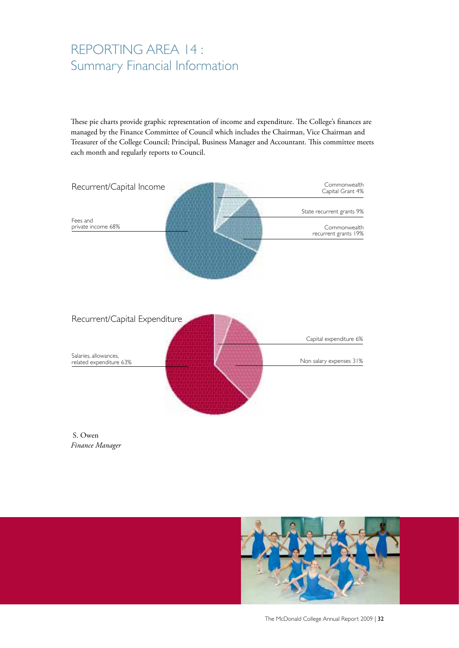## REPORTING AREA 14 : Summary Financial Information

These pie charts provide graphic representation of income and expenditure. The College's finances are managed by the Finance Committee of Council which includes the Chairman, Vice Chairman and Treasurer of the College Council; Principal, Business Manager and Accountant. This committee meets each month and regularly reports to Council.



 S. Owen *Finance Manager*